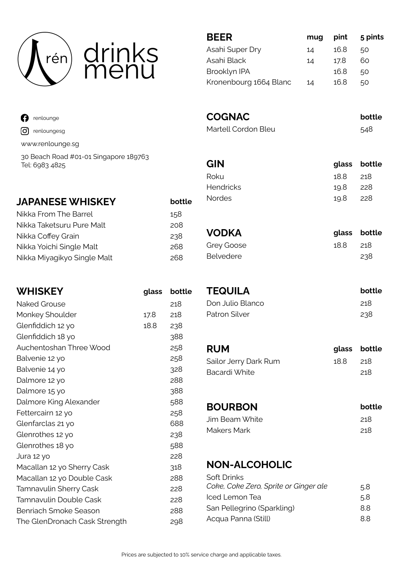

# drinks menu

| <b>n</b> renlounge             |
|--------------------------------|
| $\boxed{\text{O}}$ renloungesg |
| www.renlounge.sg               |

30 Beach Road #01-01 Singapore 189763 Tel: 6983 4825

#### **JAPANESE WHISKEY bottle**

| Nikka From The Barrel       | 158 |
|-----------------------------|-----|
| Nikka Taketsuru Pure Malt   | 208 |
| Nikka Coffey Grain          | 238 |
| Nikka Yoichi Single Malt    | 268 |
| Nikka Miyagikyo Single Malt | 268 |

| <b>WHISKEY</b>                | glass | bottle |
|-------------------------------|-------|--------|
| <b>Naked Grouse</b>           |       | 218    |
| Monkey Shoulder               | 17.8  | 218    |
| Glenfiddich 12 yo             | 18.8  | 238    |
| Glenfiddich 18 yo             |       | 388    |
| Auchentoshan Three Wood       |       | 258    |
| Balvenie 12 yo                |       | 258    |
| Balvenie 14 yo                |       | 328    |
| Dalmore 12 yo                 |       | 288    |
| Dalmore 15 yo                 |       | 388    |
| Dalmore King Alexander        |       | 588    |
| Fettercairn 12 yo             |       | 258    |
| Glenfarclas 21 yo             |       | 688    |
| Glenrothes 12 yo              |       | 238    |
| Glenrothes 18 yo              |       | 588    |
| Jura 12 yo                    |       | 228    |
| Macallan 12 yo Sherry Cask    |       | 318    |
| Macallan 12 yo Double Cask    |       | 288    |
| Tamnavulin Sherry Cask        |       | 228    |
| Tamnavulin Double Cask        |       | 228    |
| Benriach Smoke Season         |       | 288    |
| The GlenDronach Cask Strength |       | 298    |
|                               |       |        |

| <b>BEER</b>            | mug | pint | 5 pints |
|------------------------|-----|------|---------|
| Asahi Super Dry        | 14  | 16.8 | 50      |
| Asahi Black            | 14  | 17.8 | 60      |
| Brooklyn IPA           |     | 16.8 | 50      |
| Kronenbourg 1664 Blanc | 14  | 16 8 | 50      |

### **COGNAC bottle**

Martell Cordon Bleu **548** 

|          | glass bottle |
|----------|--------------|
| 188 218  |              |
| 19.8 228 |              |
| 19.8 228 |              |
|          |              |

| <b>VODKA</b> |         | glass bottle |
|--------------|---------|--------------|
| Grey Goose   | 188 218 |              |
| Belvedere    |         | 238          |

| <b>TEQUILA</b>     | <b>bottle</b> |
|--------------------|---------------|
| - Don Julio Blanco | 218           |
| Patron Silver      | 238           |

| <b>RUM</b>            |         | glass bottle |
|-----------------------|---------|--------------|
| Sailor Jerry Dark Rum | 188 218 |              |
| Bacardi White         |         | -218         |

| bottle |
|--------|
| 218    |
| 218    |
|        |

#### **NON-ALCOHOLIC**

| Soft Drinks                           |     |
|---------------------------------------|-----|
| Coke, Coke Zero, Sprite or Ginger ale | 5.8 |
| Iced Lemon Tea                        | 5.8 |
| San Pellegrino (Sparkling)            | 88  |
| Acqua Panna (Still)                   | 88. |